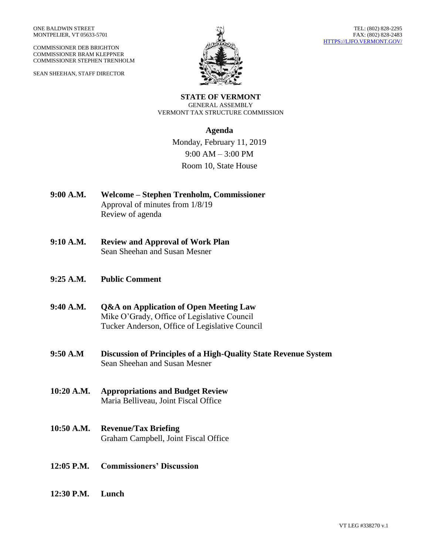COMMISSIONER DEB BRIGHTON COMMISSIONER BRAM KLEPPNER COMMISSIONER STEPHEN TRENHOLM

SEAN SHEEHAN, STAFF DIRECTOR



**STATE OF VERMONT** GENERAL ASSEMBLY VERMONT TAX STRUCTURE COMMISSION

## **Agenda**

Monday, February 11, 2019 9:00 AM – 3:00 PM Room 10, State House

- **9:00 A.M. Welcome – Stephen Trenholm, Commissioner** Approval of minutes from 1/8/19 Review of agenda
- **9:10 A.M. Review and Approval of Work Plan** Sean Sheehan and Susan Mesner
- **9:25 A.M. Public Comment**
- **9:40 A.M. Q&A on Application of Open Meeting Law** Mike O'Grady, Office of Legislative Council Tucker Anderson, Office of Legislative Council
- **9:50 A.M Discussion of Principles of a High-Quality State Revenue System** Sean Sheehan and Susan Mesner
- **10:20 A.M. Appropriations and Budget Review** Maria Belliveau, Joint Fiscal Office
- **10:50 A.M. Revenue/Tax Briefing** Graham Campbell, Joint Fiscal Office
- **12:05 P.M. Commissioners' Discussion**
- **12:30 P.M. Lunch**